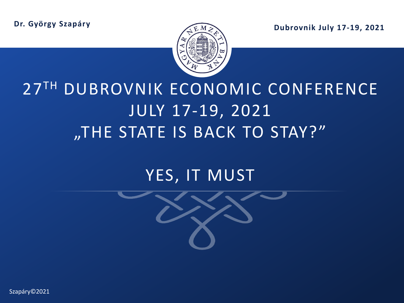**Dr. György Szapáry**

**Dubrovnik July 17-19, 2021**



# 27TH DUBROVNIK ECONOMIC CONFERENCE JULY 17-19, 2021 "THE STATE IS BACK TO STAY?"

## YES, IT MUST



1 | Szapáry©2021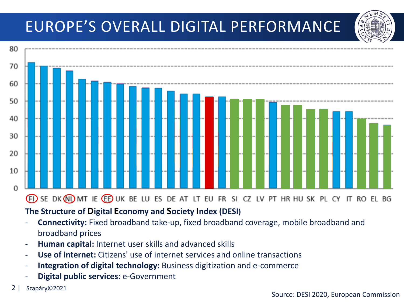## EUROPE'S OVERALL DIGITAL PERFORMANCE



- **Connectivity:** Fixed broadband take-up, fixed broadband coverage, mobile broadband and

- broadband prices
- **Human capital:** Internet user skills and advanced skills
- **Use of internet:** Citizens' use of internet services and online transactions
- **Integration of digital technology:** Business digitization and e-commerce
- **Digital public services:** e-Government
- 2 | Szapáry©2021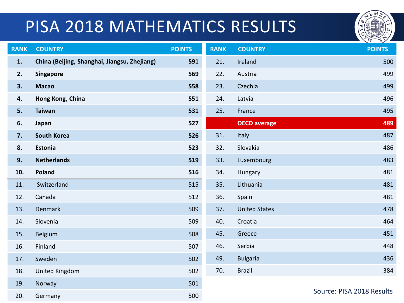# PISA 2018 MATHEMATICS RESULTS



| <b>RANK</b> | <b>COUNTRY</b>                               | <b>POINTS</b> | <b>RANK</b> | <b>COUNTRY</b>            | <b>POINTS</b> |
|-------------|----------------------------------------------|---------------|-------------|---------------------------|---------------|
| 1.          | China (Beijing, Shanghai, Jiangsu, Zhejiang) | 591           | 21.         | Ireland                   | 500           |
| 2.          | <b>Singapore</b>                             | 569           | 22.         | Austria                   | 499           |
| 3.          | <b>Macao</b>                                 | 558           | 23.         | Czechia                   | 499           |
| 4.          | Hong Kong, China                             | 551           | 24.         | Latvia                    | 496           |
| 5.          | <b>Taiwan</b>                                | 531           | 25.         | France                    | 495           |
| 6.          | Japan                                        | 527           |             | <b>OECD</b> average       | 489           |
| 7.          | <b>South Korea</b>                           | 526           | 31.         | Italy                     | 487           |
| 8.          | Estonia                                      | 523           | 32.         | Slovakia                  | 486           |
| 9.          | <b>Netherlands</b>                           | 519           | 33.         | Luxembourg                | 483           |
| 10.         | Poland                                       | 516           | 34.         | Hungary                   | 481           |
| 11.         | Switzerland                                  | 515           | 35.         | Lithuania                 | 481           |
| 12.         | Canada                                       | 512           | 36.         | Spain                     | 481           |
| 13.         | <b>Denmark</b>                               | 509           | 37.         | <b>United States</b>      | 478           |
| 14.         | Slovenia                                     | 509           | 40.         | Croatia                   | 464           |
| 15.         | Belgium                                      | 508           | 45.         | Greece                    | 451           |
| 16.         | Finland                                      | 507           | 46.         | Serbia                    | 448           |
| 17.         | Sweden                                       | 502           | 49.         | <b>Bulgaria</b>           | 436           |
| 18.         | United Kingdom                               | 502           | 70.         | <b>Brazil</b>             | 384           |
| 19.         | Norway                                       | 501           |             |                           |               |
| 20.         | Germany                                      | 500           |             | Source: PISA 2018 Results |               |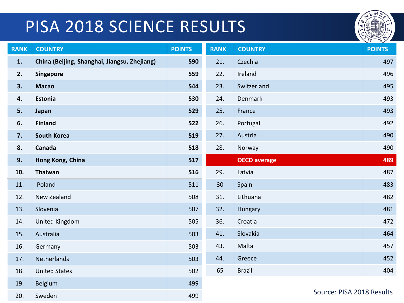# PISA 2018 SCIENCE RESULTS



| <b>RANK</b> | <b>COUNTRY</b>                               | <b>POINTS</b> | <b>RANK</b> | <b>COUNTRY</b>            | <b>POINTS</b> |
|-------------|----------------------------------------------|---------------|-------------|---------------------------|---------------|
| 1.          | China (Beijing, Shanghai, Jiangsu, Zhejiang) | 590           | 21.         | Czechia                   | 497           |
| 2.          | <b>Singapore</b>                             | 559           | 22.         | Ireland                   | 496           |
| 3.          | <b>Macao</b>                                 | 544           | 23.         | Switzerland               | 495           |
| 4.          | Estonia                                      | 530           | 24.         | Denmark                   | 493           |
| 5.          | Japan                                        | 529           | 25.         | France                    | 493           |
| 6.          | <b>Finland</b>                               | 522           | 26.         | Portugal                  | 492           |
| 7.          | <b>South Korea</b>                           | 519           | 27.         | Austria                   | 490           |
| 8.          | Canada                                       | 518           | 28.         | Norway                    | 490           |
| 9.          | Hong Kong, China                             | 517           |             | <b>OECD</b> average       | 489           |
| 10.         | Thaiwan                                      | 516           | 29.         | Latvia                    | 487           |
| 11.         | Poland                                       | 511           | 30          | Spain                     | 483           |
| 12.         | New Zealand                                  | 508           | 31.         | Lithuana                  | 482           |
| 13.         | Slovenia                                     | 507           | 32.         | Hungary                   | 481           |
| 14.         | <b>United Kingdom</b>                        | 505           | 36.         | Croatia                   | 472           |
| 15.         | Australia                                    | 503           | 41.         | Slovakia                  | 464           |
| 16.         | Germany                                      | 503           | 43.         | Malta                     | 457           |
| 17.         | Netherlands                                  | 503           | 44.         | Greece                    | 452           |
| 18.         | <b>United States</b>                         | 502           | 65          | <b>Brazil</b>             | 404           |
| 19.         | <b>Belgium</b>                               | 499           |             |                           |               |
| 20.         | Sweden                                       | 499           |             | Source: PISA 2018 Results |               |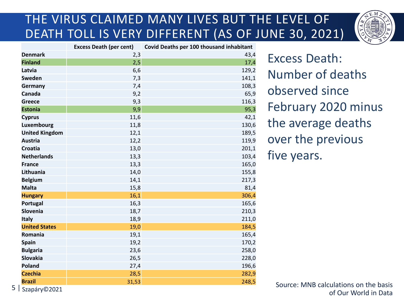## THE VIRUS CLAIMED MANY LIVES BUT THE LEVEL OF DEATH TOLL IS VERY DIFFERENT (AS OF JUNE 30, 2021)



|                       | <b>Excess Death (per cent)</b> | Covid Deaths per 100 thousand inhabitant |
|-----------------------|--------------------------------|------------------------------------------|
| <b>Denmark</b>        | 2,3                            | 43,4                                     |
| <b>Finland</b>        | 2,5                            | 17,4                                     |
| Latvia                | 6,6                            | 129,2                                    |
| Sweden                | 7,3                            | 141,1                                    |
| Germany               | 7,4                            | 108,3                                    |
| Canada                | 9,2                            | 65,9                                     |
| <b>Greece</b>         | 9,3                            | 116,3                                    |
| <b>Estonia</b>        | 9,9                            | 95,3                                     |
| <b>Cyprus</b>         | 11,6                           | 42,1                                     |
| Luxembourg            | 11,8                           | 130,6                                    |
| <b>United Kingdom</b> | 12,1                           | 189,5                                    |
| <b>Austria</b>        | 12,2                           | 119,9                                    |
| <b>Croatia</b>        | 13,0                           | 201,1                                    |
| <b>Netherlands</b>    | 13,3                           | 103,4                                    |
| <b>France</b>         | 13,3                           | 165,0                                    |
| Lithuania             | 14,0                           | 155,8                                    |
| <b>Belgium</b>        | 14,1                           | 217,3                                    |
| <b>Malta</b>          | 15,8                           | 81,4                                     |
| <b>Hungary</b>        | 16,1                           | 306,4                                    |
| Portugal              | 16,3                           | 165,6                                    |
| <b>Slovenia</b>       | 18,7                           | 210,3                                    |
| <b>Italy</b>          | 18,9                           | 211,0                                    |
| <b>United States</b>  | 19,0                           | 184,5                                    |
| Romania               | 19,1                           | 165,4                                    |
| <b>Spain</b>          | 19,2                           | 170,2                                    |
| <b>Bulgaria</b>       | 23,6                           | 258,0                                    |
| <b>Slovakia</b>       | 26,5                           | 228,0                                    |
| <b>Poland</b>         | 27,4                           | 196,6                                    |
| <b>Czechia</b>        | 28,5                           | 282,9                                    |
| <b>Brazil</b>         | 31,53                          | 248,5                                    |

 $5$  | Szapáry©2021

Excess Death: Number of deaths observed since February 2020 minus the average deaths over the previous five years.

Source: MNB calculations on the basis of Our World in Data Szapáry©2021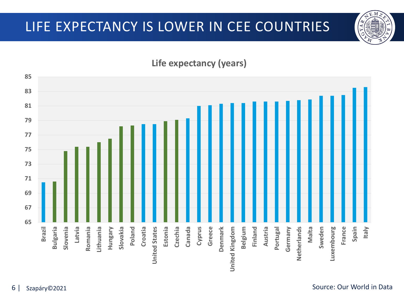## **Life expectancy (years)**



ΈM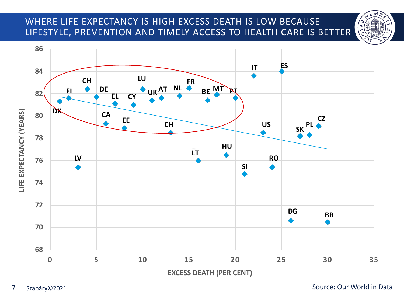## WHERE LIFE EXPECTANCY IS HIGH EXCESS DEATH IS LOW BECAUSE LIFESTYLE, PREVENTION AND TIMELY ACCESS TO HEALTH CARE IS BETTER





7 | Szapáry©2021 Source: Our World in Data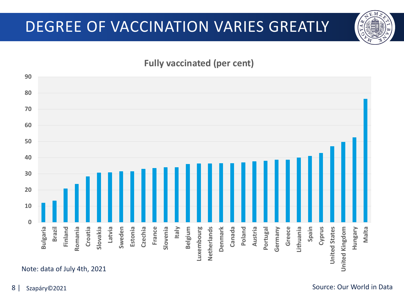## DEGREE OF VACCINATION VARIES GREATLY

### **Fully vaccinated (per cent)**

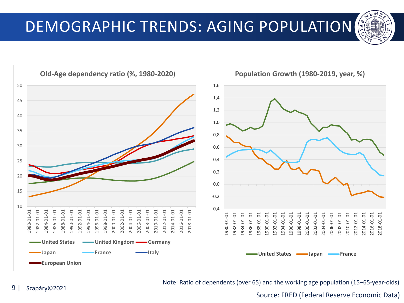



Note: Ratio of dependents (over 65) and the working age population (15–65-year-olds)

Source: FRED (Federal Reserve Economic Data)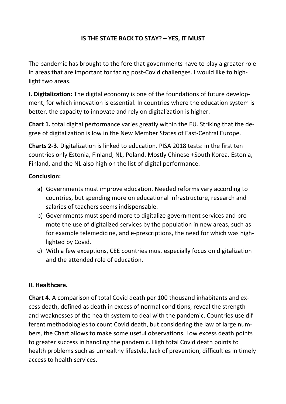#### **IS THE STATE BACK TO STAY? – YES, IT MUST**

The pandemic has brought to the fore that governments have to play a greater role in areas that are important for facing post‐Covid challenges. I would like to high‐ light two areas.

**I. Digitalization:** The digital economy is one of the foundations of future develop‐ ment, for which innovation is essential. In countries where the education system is better, the capacity to innovate and rely on digitalization is higher.

**Chart 1.** total digital performance varies greatly within the EU. Striking that the de‐ gree of digitalization is low in the New Member States of East‐Central Europe.

**Charts 2‐3.** Digitalization is linked to education. PISA 2018 tests: in the first ten countries only Estonia, Finland, NL, Poland. Mostly Chinese +South Korea. Estonia, Finland, and the NL also high on the list of digital performance.

#### **Conclusion:**

- a) Governments must improve education. Needed reforms vary according to countries, but spending more on educational infrastructure, research and salaries of teachers seems indispensable.
- b) Governments must spend more to digitalize government services and pro‐ mote the use of digitalized services by the population in new areas, such as for example telemedicine, and e-prescriptions, the need for which was highlighted by Covid.
- c) With a few exceptions, CEE countries must especially focus on digitalization and the attended role of education.

#### **II. Healthcare.**

**Chart 4.** A comparison of total Covid death per 100 thousand inhabitants and ex‐ cess death, defined as death in excess of normal conditions, reveal the strength and weaknesses of the health system to deal with the pandemic. Countries use dif‐ ferent methodologies to count Covid death, but considering the law of large num‐ bers, the Chart allows to make some useful observations. Low excess death points to greater success in handling the pandemic. High total Covid death points to health problems such as unhealthy lifestyle, lack of prevention, difficulties in timely access to health services.